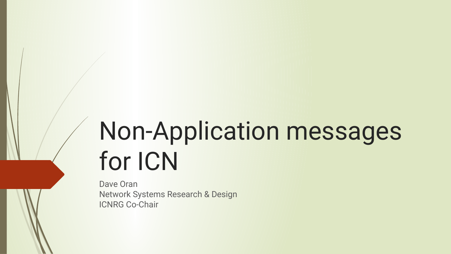# Non-Application messages for ICN

Dave Oran Network Systems Research & Design ICNRG Co-Chair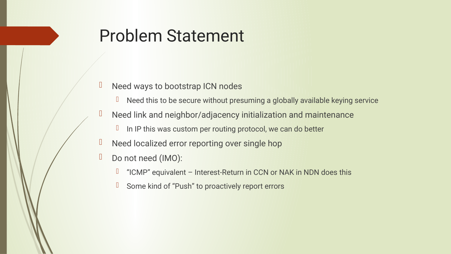## Problem Statement

- D Need ways to bootstrap ICN nodes
	- $\Box$  Need this to be secure without presuming a globally available keying service
- $\Box$  Need link and neighbor/adjacency initialization and maintenance
	- $I$  In IP this was custom per routing protocol, we can do better
- D Need localized error reporting over single hop
- Do not need (IMO):
	- $\Box$  "ICMP" equivalent Interest-Return in CCN or NAK in NDN does this
	- **Some kind of "Push" to proactively report errors**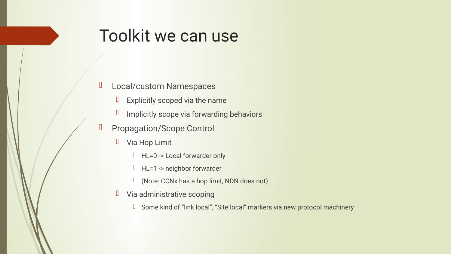### Toolkit we can use

#### D Local/custom Namespaces

- $\Box$  Explicitly scoped via the name
- **I** Implicitly scope via forwarding behaviors
- D Propagation/Scope Control
	- **U** Via Hop Limit
		- $H = 0$  -> Local forwarder only
		- HL=1 -> neighbor forwarder
		- (Note: CCNx has a hop limit, NDN does not)
	- **U** Via administrative scoping
		- **I** Some kind of "link local", "Site local" markers via new protocol machinery